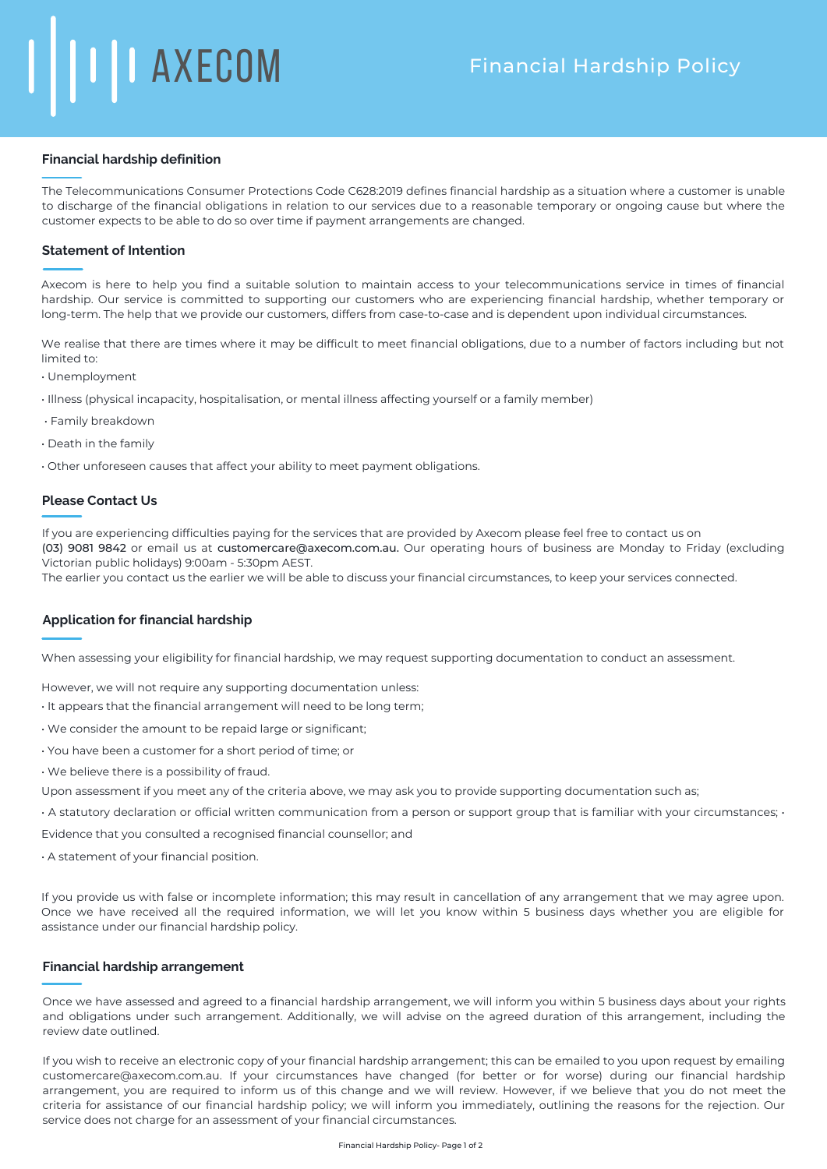### **Financial hardship definition**

The Telecommunications Consumer Protections Code C628:2019 defines financial hardship as a situation where a customer is unable to discharge of the financial obligations in relation to our services due to a reasonable temporary or ongoing cause but where the customer expects to be able to do so over time if payment arrangements are changed.

# **Statement of Intention**

Axecom is here to help you find a suitable solution to maintain access to your telecommunications service in times of financial hardship. Our service is committed to supporting our customers who are experiencing financial hardship, whether temporary or long-term. The help that we provide our customers, differs from case-to-case and is dependent upon individual circumstances.

We realise that there are times where it may be difficult to meet financial obligations, due to a number of factors including but not limited to:

- Unemployment
- Illness (physical incapacity, hospitalisation, or mental illness affecting yourself or a family member)
- Family breakdown
- Death in the family
- Other unforeseen causes that affect your ability to meet payment obligations.

## **Please Contact Us**

If you are experiencing difficulties paying for the services that are provided by Axecom please feel free to contact us on (03) 9081 9842 or email us at customercare@axecom.com.au. Our operating hours of business are Monday to Friday (excluding Victorian public holidays) 9:00am - 5:30pm AEST.

The earlier you contact us the earlier we will be able to discuss your financial circumstances, to keep your services connected.

### **Application for financial hardship**

When assessing your eligibility for financial hardship, we may request supporting documentation to conduct an assessment.

However, we will not require any supporting documentation unless:

- It appears that the financial arrangement will need to be long term;
- We consider the amount to be repaid large or significant;
- You have been a customer for a short period of time; or
- We believe there is a possibility of fraud.
- Upon assessment if you meet any of the criteria above, we may ask you to provide supporting documentation such as;
- A statutory declaration or official written communication from a person or support group that is familiar with your circumstances; •

Evidence that you consulted a recognised financial counsellor; and

• A statement of your financial position.

If you provide us with false or incomplete information; this may result in cancellation of any arrangement that we may agree upon. Once we have received all the required information, we will let you know within 5 business days whether you are eligible for assistance under our financial hardship policy.

# **Financial hardship arrangement**

Once we have assessed and agreed to a financial hardship arrangement, we will inform you within 5 business days about your rights and obligations under such arrangement. Additionally, we will advise on the agreed duration of this arrangement, including the review date outlined.

If you wish to receive an electronic copy of your financial hardship arrangement; this can be emailed to you upon request by emailing customercare@axecom.com.au. If your circumstances have changed (for better or for worse) during our financial hardship arrangement, you are required to inform us of this change and we will review. However, if we believe that you do not meet the criteria for assistance of our financial hardship policy; we will inform you immediately, outlining the reasons for the rejection. Our service does not charge for an assessment of your financial circumstances.